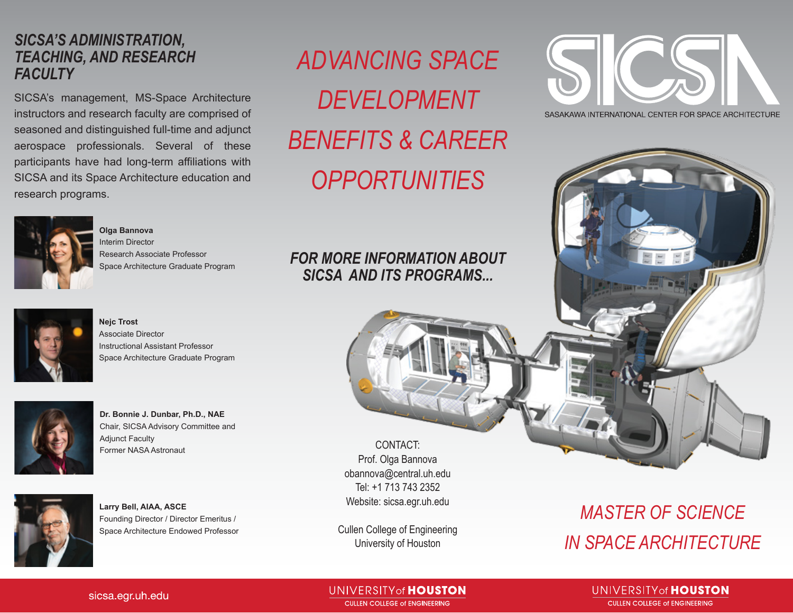### *SICSA'S ADMINISTRATION, TEACHING, AND RESEARCH FACULTY*

SICSA's management, MS-Space Architecture instructors and research faculty are comprised of seasoned and distinguished full-time and adjunct aerospace professionals. Several of these participants have had long-term affiliations with SICSA and its Space Architecture education and research programs.



Interim Director Research Associate Professor Space Architecture Graduate Program



**Nejc Trost** Associate Director Instructional Assistant Professor Space Architecture Graduate Program



**Dr. Bonnie J. Dunbar, Ph.D., NAE** Chair, SICSA Advisory Committee and **Adiunct Faculty** Former NASA Astronaut



**Larry Bell, AIAA, ASCE** Founding Director / Director Emeritus / Space Architecture Endowed Professor

*ADVANCING SPACE DEVELOPMENT BENEFITS & CAREER OPPORTUNITIES* 

# *FOR MORE INFORMATION ABOUT SICSA AND ITS PROGRAMS...*

CONTACT: Prof. Olga Bannova obannova@central.uh.edu Tel: +1 713 743 2352 Website: sicsa.egr.uh.edu

Cullen College of Engineering University of Houston

*MASTER OF SCIENCE IN SPACE ARCHITECTURE*

SASAKAWA INTERNATIONAL CENTER FOR SPACE ARCHITECTURE



UNIVERSITY of HOUSTON

**CULLEN COLLEGE of ENGINEERING** 

### UNIVERSITY of **HOUSTON** CULLEN COLLEGE of ENGINEERING